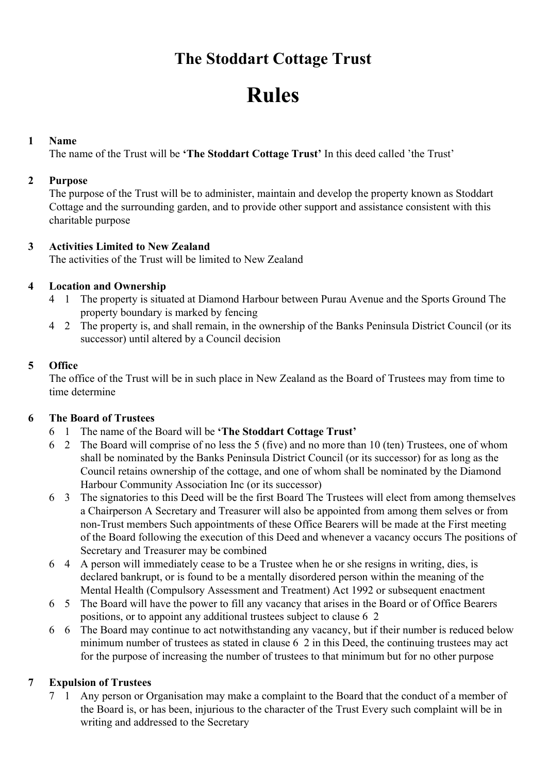# The Stoddart Cottage Trust

# Rules

#### 1 Name

The name of the Trust will be 'The Stoddart Cottage Trust' In this deed called 'the Trust'

#### 2 Purpose

The purpose of the Trust will be to administer, maintain and develop the property known as Stoddart Cottage and the surrounding garden, and to provide other support and assistance consistent with this charitable purpose

#### 3 Activities Limited to New Zealand

The activities of the Trust will be limited to New Zealand

## 4 Location and Ownership

- 4 1 The property is situated at Diamond Harbour between Purau Avenue and the Sports Ground The property boundary is marked by fencing
- 4 2 The property is, and shall remain, in the ownership of the Banks Peninsula District Council (or its successor) until altered by a Council decision

## 5 Office

The office of the Trust will be in such place in New Zealand as the Board of Trustees may from time to time determine

#### 6 The Board of Trustees

- 6 1 The name of the Board will be 'The Stoddart Cottage Trust'
- 6 2 The Board will comprise of no less the 5 (five) and no more than 10 (ten) Trustees, one of whom shall be nominated by the Banks Peninsula District Council (or its successor) for as long as the Council retains ownership of the cottage, and one of whom shall be nominated by the Diamond Harbour Community Association Inc (or its successor)
- 6 3 The signatories to this Deed will be the first Board The Trustees will elect from among themselves a Chairperson A Secretary and Treasurer will also be appointed from among them selves or from non-Trust members Such appointments of these Office Bearers will be made at the First meeting of the Board following the execution of this Deed and whenever a vacancy occurs The positions of Secretary and Treasurer may be combined
- 6 4 A person will immediately cease to be a Trustee when he or she resigns in writing, dies, is declared bankrupt, or is found to be a mentally disordered person within the meaning of the Mental Health (Compulsory Assessment and Treatment) Act 1992 or subsequent enactment
- 6 5 The Board will have the power to fill any vacancy that arises in the Board or of Office Bearers positions, or to appoint any additional trustees subject to clause 6 2
- 6 6 The Board may continue to act notwithstanding any vacancy, but if their number is reduced below minimum number of trustees as stated in clause 6 2 in this Deed, the continuing trustees may act for the purpose of increasing the number of trustees to that minimum but for no other purpose

# 7 Expulsion of Trustees

7 1 Any person or Organisation may make a complaint to the Board that the conduct of a member of the Board is, or has been, injurious to the character of the Trust Every such complaint will be in writing and addressed to the Secretary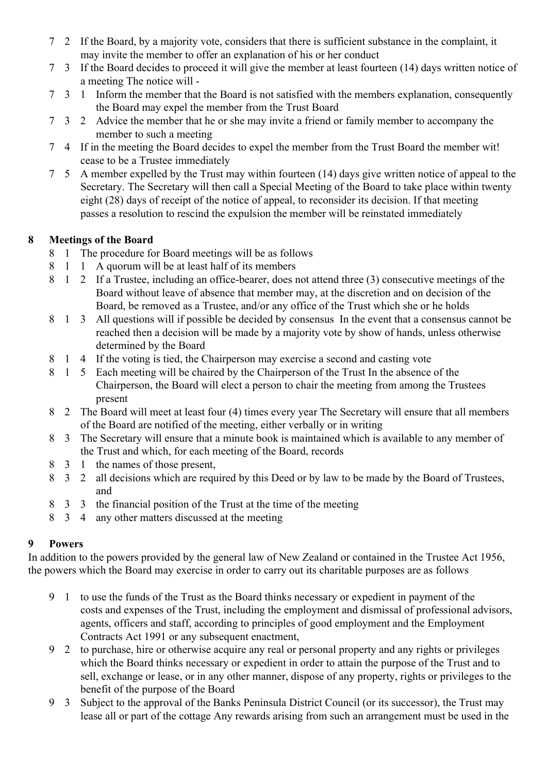- 7 2 If the Board, by a majority vote, considers that there is sufficient substance in the complaint, it may invite the member to offer an explanation of his or her conduct
- 7 3 If the Board decides to proceed it will give the member at least fourteen (14) days written notice of a meeting The notice will -
- 7 3 1 Inform the member that the Board is not satisfied with the members explanation, consequently the Board may expel the member from the Trust Board
- 7 3 2 Advice the member that he or she may invite a friend or family member to accompany the member to such a meeting
- 7 4 If in the meeting the Board decides to expel the member from the Trust Board the member wit! cease to be a Trustee immediately
- 7 5 A member expelled by the Trust may within fourteen (14) days give written notice of appeal to the Secretary. The Secretary will then call a Special Meeting of the Board to take place within twenty eight (28) days of receipt of the notice of appeal, to reconsider its decision. If that meeting passes a resolution to rescind the expulsion the member will be reinstated immediately

#### 8 Meetings of the Board

- 8 1 The procedure for Board meetings will be as follows
- 8 1 1 A quorum will be at least half of its members
- 8 1 2 If a Trustee, including an office-bearer, does not attend three (3) consecutive meetings of the Board without leave of absence that member may, at the discretion and on decision of the Board, be removed as a Trustee, and/or any office of the Trust which she or he holds
- 8 1 3 All questions will if possible be decided by consensus In the event that a consensus cannot be reached then a decision will be made by a majority vote by show of hands, unless otherwise determined by the Board
- 8 1 4 If the voting is tied, the Chairperson may exercise a second and casting vote
- 8 1 5 Each meeting will be chaired by the Chairperson of the Trust In the absence of the Chairperson, the Board will elect a person to chair the meeting from among the Trustees present
- 8 2 The Board will meet at least four (4) times every year The Secretary will ensure that all members of the Board are notified of the meeting, either verbally or in writing
- 8 3 The Secretary will ensure that a minute book is maintained which is available to any member of the Trust and which, for each meeting of the Board, records
- 8 3 1 the names of those present,
- 8 3 2 all decisions which are required by this Deed or by law to be made by the Board of Trustees, and
- 8 3 3 the financial position of the Trust at the time of the meeting
- 8 3 4 any other matters discussed at the meeting

# 9 Powers

In addition to the powers provided by the general law of New Zealand or contained in the Trustee Act 1956, the powers which the Board may exercise in order to carry out its charitable purposes are as follows

- 9 1 to use the funds of the Trust as the Board thinks necessary or expedient in payment of the costs and expenses of the Trust, including the employment and dismissal of professional advisors, agents, officers and staff, according to principles of good employment and the Employment Contracts Act 1991 or any subsequent enactment,
- 9 2 to purchase, hire or otherwise acquire any real or personal property and any rights or privileges which the Board thinks necessary or expedient in order to attain the purpose of the Trust and to sell, exchange or lease, or in any other manner, dispose of any property, rights or privileges to the benefit of the purpose of the Board
- 9 3 Subject to the approval of the Banks Peninsula District Council (or its successor), the Trust may lease all or part of the cottage Any rewards arising from such an arrangement must be used in the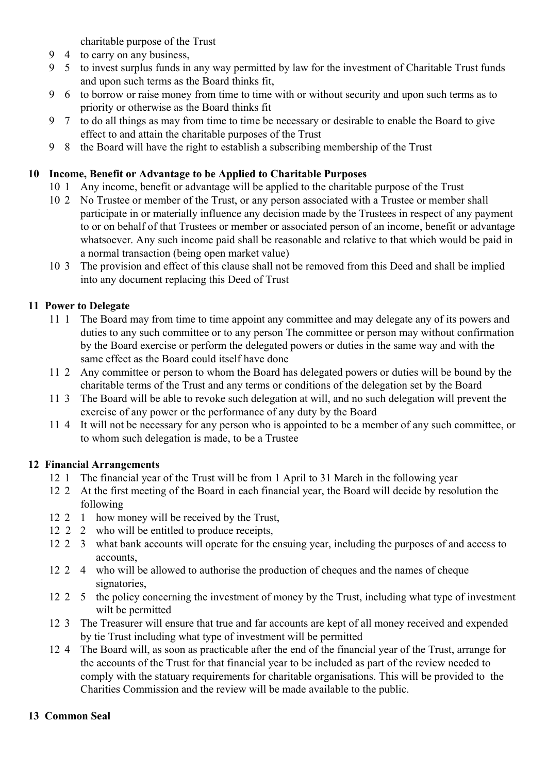charitable purpose of the Trust

- 9 4 to carry on any business,
- 9 5 to invest surplus funds in any way permitted by law for the investment of Charitable Trust funds and upon such terms as the Board thinks fit,
- 9 6 to borrow or raise money from time to time with or without security and upon such terms as to priority or otherwise as the Board thinks fit
- 9 7 to do all things as may from time to time be necessary or desirable to enable the Board to give effect to and attain the charitable purposes of the Trust
- 9 8 the Board will have the right to establish a subscribing membership of the Trust

#### 10 Income, Benefit or Advantage to be Applied to Charitable Purposes

- 10 1 Any income, benefit or advantage will be applied to the charitable purpose of the Trust
- 10 2 No Trustee or member of the Trust, or any person associated with a Trustee or member shall participate in or materially influence any decision made by the Trustees in respect of any payment to or on behalf of that Trustees or member or associated person of an income, benefit or advantage whatsoever. Any such income paid shall be reasonable and relative to that which would be paid in a normal transaction (being open market value)
- 10 3 The provision and effect of this clause shall not be removed from this Deed and shall be implied into any document replacing this Deed of Trust

# 11 Power to Delegate

- 11 1 The Board may from time to time appoint any committee and may delegate any of its powers and duties to any such committee or to any person The committee or person may without confirmation by the Board exercise or perform the delegated powers or duties in the same way and with the same effect as the Board could itself have done
- 11 2 Any committee or person to whom the Board has delegated powers or duties will be bound by the charitable terms of the Trust and any terms or conditions of the delegation set by the Board
- 11 3 The Board will be able to revoke such delegation at will, and no such delegation will prevent the exercise of any power or the performance of any duty by the Board
- 11 4 It will not be necessary for any person who is appointed to be a member of any such committee, or to whom such delegation is made, to be a Trustee

#### 12 Financial Arrangements

- 12 1 The financial year of the Trust will be from 1 April to 31 March in the following year
- 12 2 At the first meeting of the Board in each financial year, the Board will decide by resolution the following
- 12 2 1 how money will be received by the Trust,
- 12 2 2 who will be entitled to produce receipts,
- 12 2 3 what bank accounts will operate for the ensuing year, including the purposes of and access to accounts,
- 12 2 4 who will be allowed to authorise the production of cheques and the names of cheque signatories,
- 12 2 5 the policy concerning the investment of money by the Trust, including what type of investment wilt be permitted
- 12 3 The Treasurer will ensure that true and far accounts are kept of all money received and expended by tie Trust including what type of investment will be permitted
- 12 4 The Board will, as soon as practicable after the end of the financial year of the Trust, arrange for the accounts of the Trust for that financial year to be included as part of the review needed to comply with the statuary requirements for charitable organisations. This will be provided to the Charities Commission and the review will be made available to the public.

# 13 Common Seal